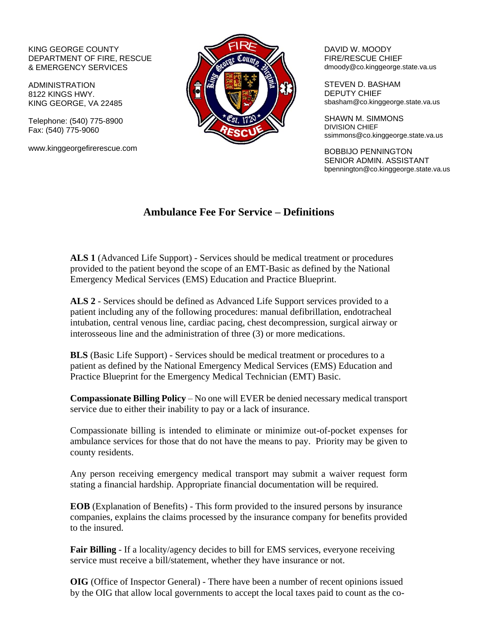## KING GEORGE COUNTY DEPARTMENT OF FIRE, RESCUE & EMERGENCY SERVICES

ADMINISTRATION 8122 KINGS HWY. KING GEORGE, VA 22485

Telephone: (540) 775-8900 Fax: (540) 775-9060

www.kinggeorgefirerescue.com



DAVID W. MOODY FIRE/RESCUE CHIEF dmoody@co.kinggeorge.state.va.us

STEVEN D. BASHAM DEPUTY CHIEF sbasham@co.kinggeorge.state.va.us

SHAWN M. SIMMONS DIVISION CHIEF ssimmons@co.kinggeorge.state.va.us

BOBBIJO PENNINGTON SENIOR ADMIN. ASSISTANT bpennington@co.kinggeorge.state.va.us

## **Ambulance Fee For Service – Definitions**

**ALS 1** (Advanced Life Support) - Services should be medical treatment or procedures provided to the patient beyond the scope of an EMT-Basic as defined by the National Emergency Medical Services (EMS) Education and Practice Blueprint.

**ALS 2** - Services should be defined as Advanced Life Support services provided to a patient including any of the following procedures: manual defibrillation, endotracheal intubation, central venous line, cardiac pacing, chest decompression, surgical airway or interosseous line and the administration of three (3) or more medications.

**BLS** (Basic Life Support) - Services should be medical treatment or procedures to a patient as defined by the National Emergency Medical Services (EMS) Education and Practice Blueprint for the Emergency Medical Technician (EMT) Basic.

**[Compassionate Billing](http://www.spotsylvania.va.us/emplibrary/Compassionate_Billing_Policy(9).pdf) Policy** – No one will EVER be denied necessary medical transport service due to either their inability to pay or a lack of insurance.

Compassionate billing is intended to eliminate or minimize out-of-pocket expenses for ambulance services for those that do not have the means to pay. Priority may be given to county residents.

Any person receiving emergency medical transport may submit a waiver request form stating a financial hardship. Appropriate financial documentation will be required.

**EOB** (Explanation of Benefits) - This form provided to the insured persons by insurance companies, explains the claims processed by the insurance company for benefits provided to the insured.

**Fair Billing** - If a locality/agency decides to bill for EMS services, everyone receiving service must receive a bill/statement, whether they have insurance or not.

**OIG** (Office of Inspector General) - There have been a number of recent opinions issued by the OIG that allow local governments to accept the local taxes paid to count as the co